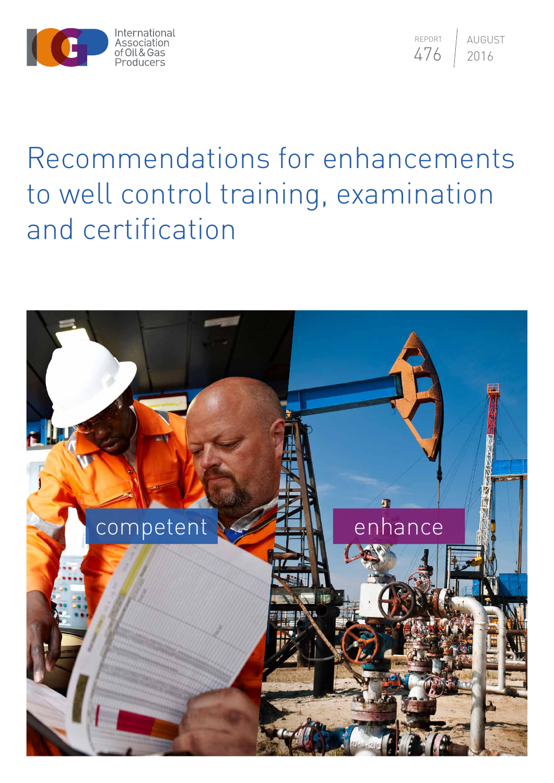



## Recommendations for enhancements to well control training, examination and certification

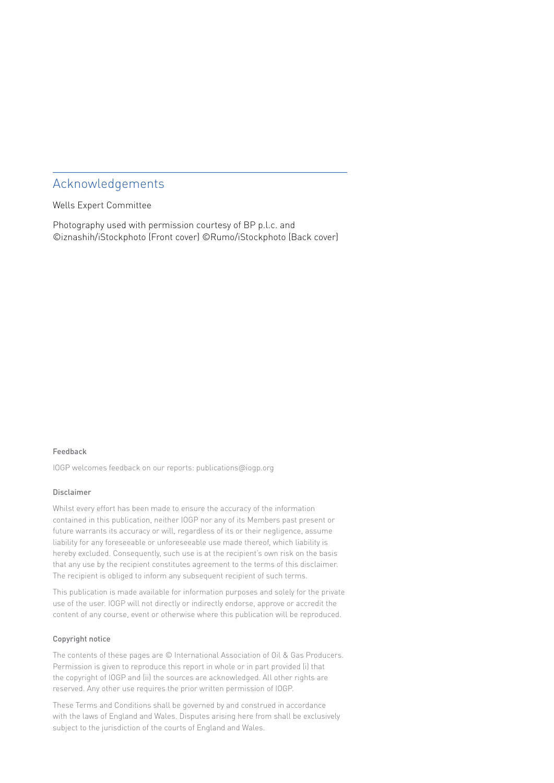#### Acknowledgements

#### Wells Expert Committee

Photography used with permission courtesy of BP p.l.c. and ©iznashih/iStockphoto (Front cover) ©Rumo/iStockphoto (Back cover)

#### Feedback

IOGP welcomes feedback on our reports: [publications@iogp.org](mailto:publications%40iogp.org?subject=)

#### Disclaimer

Whilst every effort has been made to ensure the accuracy of the information contained in this publication, neither IOGP nor any of its Members past present or future warrants its accuracy or will, regardless of its or their negligence, assume liability for any foreseeable or unforeseeable use made thereof, which liability is hereby excluded. Consequently, such use is at the recipient's own risk on the basis that any use by the recipient constitutes agreement to the terms of this disclaimer. The recipient is obliged to inform any subsequent recipient of such terms.

This publication is made available for information purposes and solely for the private use of the user. IOGP will not directly or indirectly endorse, approve or accredit the content of any course, event or otherwise where this publication will be reproduced.

#### Copyright notice

The contents of these pages are © International Association of Oil & Gas Producers. Permission is given to reproduce this report in whole or in part provided (i) that the copyright of IOGP and (ii) the sources are acknowledged. All other rights are reserved. Any other use requires the prior written permission of IOGP.

These Terms and Conditions shall be governed by and construed in accordance with the laws of England and Wales. Disputes arising here from shall be exclusively subject to the jurisdiction of the courts of England and Wales.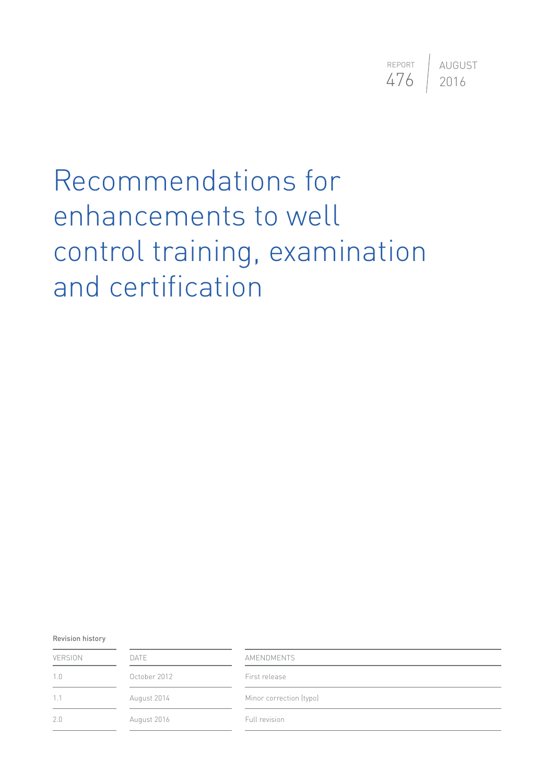AUGUST 2016 REPORT 476

# Recommendations for enhancements to well control training, examination and certification

Revision history

VERSION DATE DATE AMENDMENTS 1.0 October 2012 First release 1.1 August 2014 Minor correction (typo) 2.0 August 2016 August 2016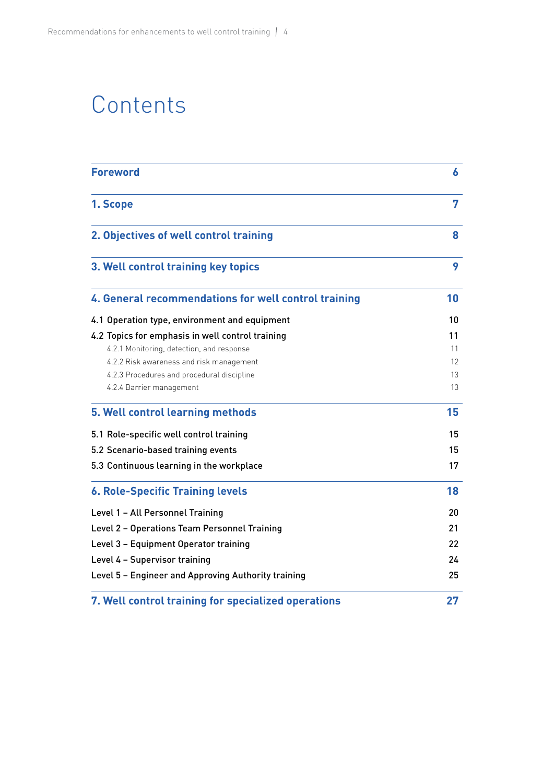## **Contents**

| <b>Foreword</b>                                      | 6  |
|------------------------------------------------------|----|
| 1. Scope                                             | 7  |
| 2. Objectives of well control training               | 8  |
| 3. Well control training key topics                  | 9  |
| 4. General recommendations for well control training | 10 |
| 4.1 Operation type, environment and equipment        | 10 |
| 4.2 Topics for emphasis in well control training     | 11 |
| 4.2.1 Monitoring, detection, and response            | 11 |
| 4.2.2 Risk awareness and risk management             | 12 |
| 4.2.3 Procedures and procedural discipline           | 13 |
| 4.2.4 Barrier management                             | 13 |
| 5. Well control learning methods                     | 15 |
| 5.1 Role-specific well control training              | 15 |
| 5.2 Scenario-based training events                   | 15 |
| 5.3 Continuous learning in the workplace             | 17 |
| <b>6. Role-Specific Training levels</b>              | 18 |
| Level 1 - All Personnel Training                     | 20 |
| Level 2 - Operations Team Personnel Training         | 21 |
| Level 3 - Equipment Operator training                | 22 |
| Level 4 - Supervisor training                        | 24 |
| Level 5 - Engineer and Approving Authority training  | 25 |
|                                                      |    |
| 7. Well control training for specialized operations  | 27 |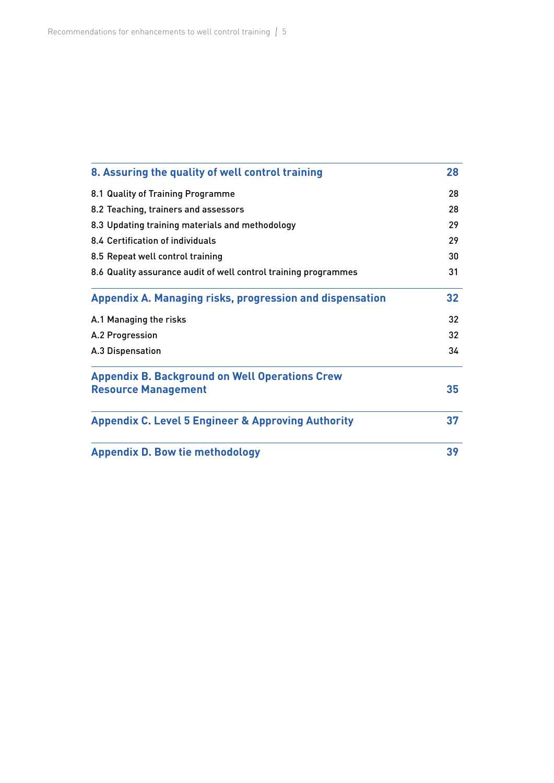| 8. Assuring the quality of well control training                |    |  |  |
|-----------------------------------------------------------------|----|--|--|
| 8.1 Quality of Training Programme                               | 28 |  |  |
| 8.2 Teaching, trainers and assessors                            | 28 |  |  |
| 8.3 Updating training materials and methodology                 |    |  |  |
| 8.4 Certification of individuals                                |    |  |  |
| 8.5 Repeat well control training                                | 30 |  |  |
| 8.6 Quality assurance audit of well control training programmes |    |  |  |
| <b>Appendix A. Managing risks, progression and dispensation</b> | 32 |  |  |
| A.1 Managing the risks                                          | 32 |  |  |
| A.2 Progression                                                 | 32 |  |  |
| A.3 Dispensation                                                | 34 |  |  |
| <b>Appendix B. Background on Well Operations Crew</b>           |    |  |  |
| <b>Resource Management</b>                                      | 35 |  |  |
| <b>Appendix C. Level 5 Engineer &amp; Approving Authority</b>   | 37 |  |  |
| <b>Appendix D. Bow tie methodology</b>                          | 39 |  |  |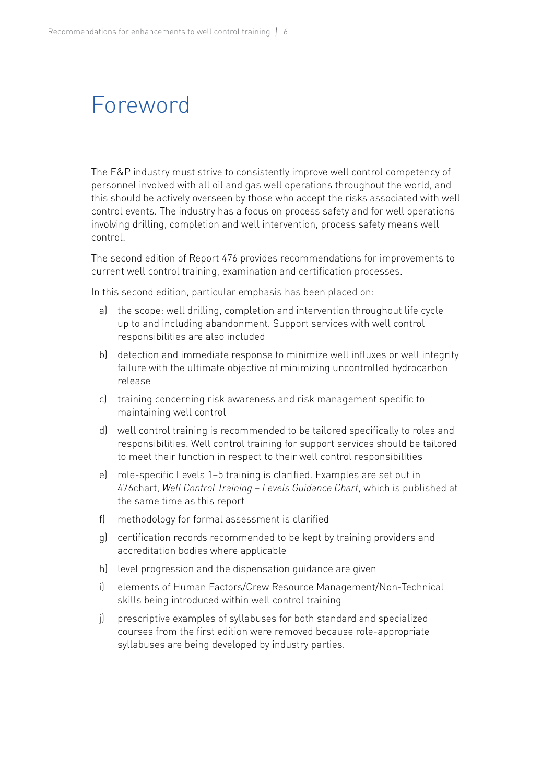## <span id="page-5-0"></span>Foreword

The E&P industry must strive to consistently improve well control competency of personnel involved with all oil and gas well operations throughout the world, and this should be actively overseen by those who accept the risks associated with well control events. The industry has a focus on process safety and for well operations involving drilling, completion and well intervention, process safety means well control.

The second edition of Report 476 provides recommendations for improvements to current well control training, examination and certification processes.

In this second edition, particular emphasis has been placed on:

- a) the scope: well drilling, completion and intervention throughout life cycle up to and including abandonment. Support services with well control responsibilities are also included
- b) detection and immediate response to minimize well influxes or well integrity failure with the ultimate objective of minimizing uncontrolled hydrocarbon release
- c) training concerning risk awareness and risk management specific to maintaining well control
- d) well control training is recommended to be tailored specifically to roles and responsibilities. Well control training for support services should be tailored to meet their function in respect to their well control responsibilities
- e) role-specific Levels 1–5 training is clarified. Examples are set out in 476chart, *Well Control Training – Levels Guidance Chart*, which is published at the same time as this report
- f) methodology for formal assessment is clarified
- g) certification records recommended to be kept by training providers and accreditation bodies where applicable
- h) level progression and the dispensation guidance are given
- i) elements of Human Factors/Crew Resource Management/Non-Technical skills being introduced within well control training
- j) prescriptive examples of syllabuses for both standard and specialized courses from the first edition were removed because role-appropriate syllabuses are being developed by industry parties.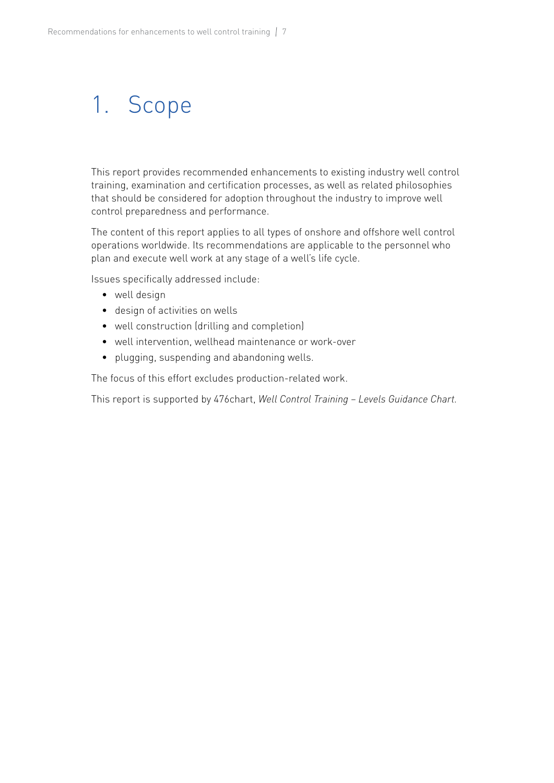## <span id="page-6-0"></span>1. Scope

This report provides recommended enhancements to existing industry well control training, examination and certification processes, as well as related philosophies that should be considered for adoption throughout the industry to improve well control preparedness and performance.

The content of this report applies to all types of onshore and offshore well control operations worldwide. Its recommendations are applicable to the personnel who plan and execute well work at any stage of a well's life cycle.

Issues specifically addressed include:

- well design
- design of activities on wells
- well construction (drilling and completion)
- well intervention, wellhead maintenance or work-over
- plugging, suspending and abandoning wells.

The focus of this effort excludes production-related work.

This report is supported by 476chart, *[Well Control Training – Levels Guidance Chart.](file:/Volumes/Design/Projects/2%20-%20Scheduled/2%20%E2%80%93%20Design%20Work/476/476chart.pdf)*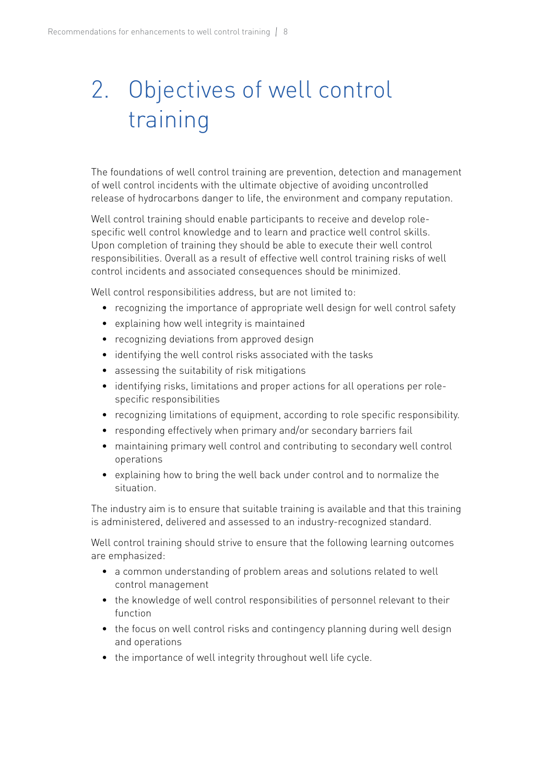## <span id="page-7-0"></span>2. Objectives of well control training

The foundations of well control training are prevention, detection and management of well control incidents with the ultimate objective of avoiding uncontrolled release of hydrocarbons danger to life, the environment and company reputation.

Well control training should enable participants to receive and develop rolespecific well control knowledge and to learn and practice well control skills. Upon completion of training they should be able to execute their well control responsibilities. Overall as a result of effective well control training risks of well control incidents and associated consequences should be minimized.

Well control responsibilities address, but are not limited to:

- recognizing the importance of appropriate well design for well control safety
- explaining how well integrity is maintained
- recognizing deviations from approved design
- identifying the well control risks associated with the tasks
- assessing the suitability of risk mitigations
- identifying risks, limitations and proper actions for all operations per rolespecific responsibilities
- recognizing limitations of equipment, according to role specific responsibility.
- responding effectively when primary and/or secondary barriers fail
- maintaining primary well control and contributing to secondary well control operations
- explaining how to bring the well back under control and to normalize the situation.

The industry aim is to ensure that suitable training is available and that this training is administered, delivered and assessed to an industry-recognized standard.

Well control training should strive to ensure that the following learning outcomes are emphasized:

- a common understanding of problem areas and solutions related to well control management
- the knowledge of well control responsibilities of personnel relevant to their function
- the focus on well control risks and contingency planning during well design and operations
- the importance of well integrity throughout well life cycle.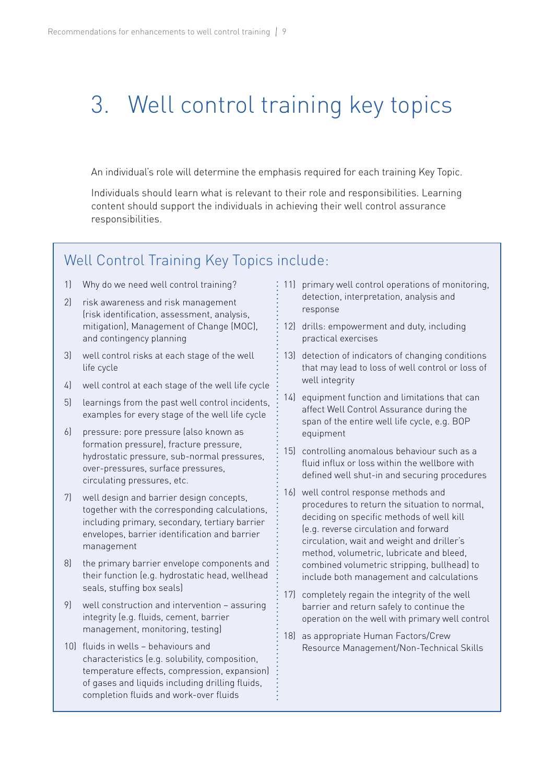## <span id="page-8-0"></span>3. Well control training key topics

An individual's role will determine the emphasis required for each training Key Topic.

Individuals should learn what is relevant to their role and responsibilities. Learning content should support the individuals in achieving their well control assurance responsibilities.

### Well Control Training Key Topics include:

- 1) Why do we need well control training?
- 2) risk awareness and risk management (risk identification, assessment, analysis, mitigation), Management of Change (MOC), and contingency planning
- 3) well control risks at each stage of the well life cycle
- 4) well control at each stage of the well life cycle
- 5) learnings from the past well control incidents, examples for every stage of the well life cycle
- 6) pressure: pore pressure (also known as formation pressure), fracture pressure, hydrostatic pressure, sub-normal pressures, over-pressures, surface pressures, circulating pressures, etc.
- 7) well design and barrier design concepts, together with the corresponding calculations, including primary, secondary, tertiary barrier envelopes, barrier identification and barrier management
- 8) the primary barrier envelope components and their function (e.g. hydrostatic head, wellhead seals, stuffing box seals)
- 9) well construction and intervention assuring integrity (e.g. fluids, cement, barrier management, monitoring, testing)
- 10) fluids in wells behaviours and characteristics (e.g. solubility, composition, temperature effects, compression, expansion) of gases and liquids including drilling fluids, completion fluids and work-over fluids
- : 11) primary well control operations of monitoring, detection, interpretation, analysis and response
	- 12) drills: empowerment and duty, including practical exercises
	- 13) detection of indicators of changing conditions that may lead to loss of well control or loss of well integrity
	- 14) equipment function and limitations that can affect Well Control Assurance during the span of the entire well life cycle, e.g. BOP equipment
	- 15) controlling anomalous behaviour such as a fluid influx or loss within the wellbore with defined well shut-in and securing procedures
	- 16) well control response methods and procedures to return the situation to normal, deciding on specific methods of well kill (e.g. reverse circulation and forward circulation, wait and weight and driller's method, volumetric, lubricate and bleed, combined volumetric stripping, bullhead) to include both management and calculations
	- 17) completely regain the integrity of the well barrier and return safely to continue the operation on the well with primary well control
	- 18) as appropriate Human Factors/Crew Resource Management/Non-Technical Skills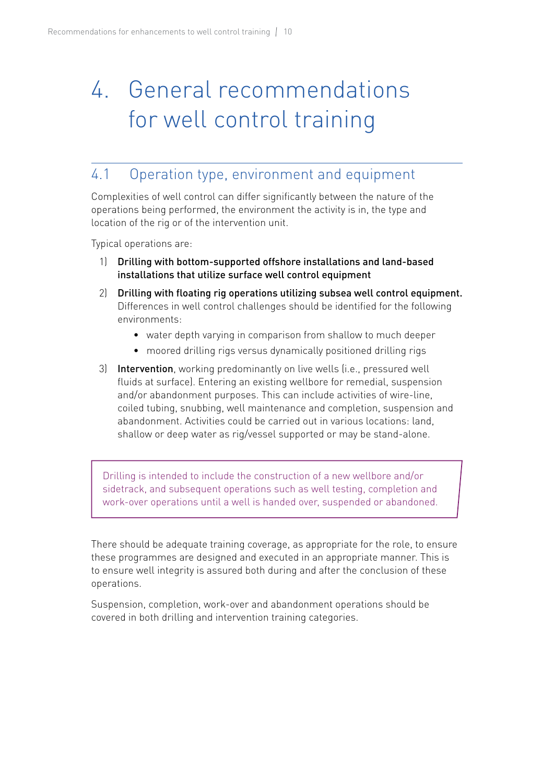## <span id="page-9-0"></span>4. General recommendations for well control training

### 4.1 Operation type, environment and equipment

Complexities of well control can differ significantly between the nature of the operations being performed, the environment the activity is in, the type and location of the rig or of the intervention unit.

Typical operations are:

- 1) Drilling with bottom-supported offshore installations and land-based installations that utilize surface well control equipment
- 2) Drilling with floating rig operations utilizing subsea well control equipment. Differences in well control challenges should be identified for the following environments:
	- water depth varying in comparison from shallow to much deeper
	- moored drilling rigs versus dynamically positioned drilling rigs
- 3) Intervention, working predominantly on live wells (i.e., pressured well fluids at surface). Entering an existing wellbore for remedial, suspension and/or abandonment purposes. This can include activities of wire-line, coiled tubing, snubbing, well maintenance and completion, suspension and abandonment. Activities could be carried out in various locations: land, shallow or deep water as rig/vessel supported or may be stand-alone.

Drilling is intended to include the construction of a new wellbore and/or sidetrack, and subsequent operations such as well testing, completion and work-over operations until a well is handed over, suspended or abandoned.

There should be adequate training coverage, as appropriate for the role, to ensure these programmes are designed and executed in an appropriate manner. This is to ensure well integrity is assured both during and after the conclusion of these operations.

Suspension, completion, work-over and abandonment operations should be covered in both drilling and intervention training categories.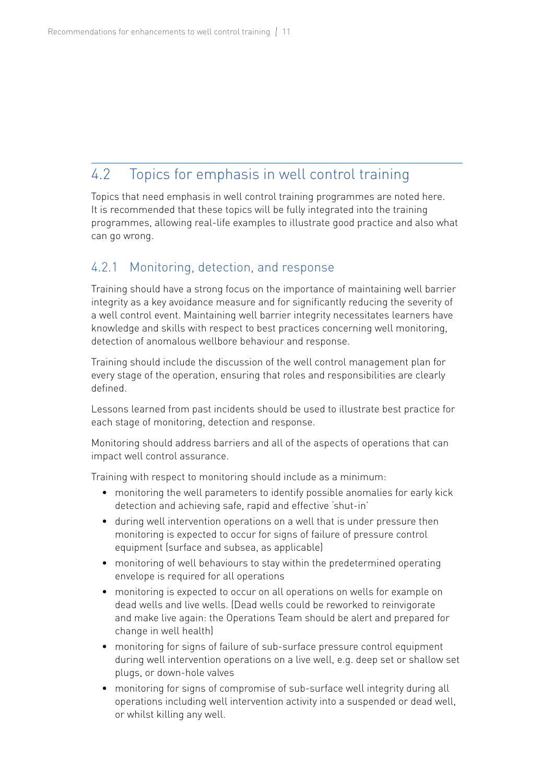## <span id="page-10-0"></span>4.2 Topics for emphasis in well control training

Topics that need emphasis in well control training programmes are noted here. It is recommended that these topics will be fully integrated into the training programmes, allowing real-life examples to illustrate good practice and also what can go wrong.

### 4.2.1 Monitoring, detection, and response

Training should have a strong focus on the importance of maintaining well barrier integrity as a key avoidance measure and for significantly reducing the severity of a well control event. Maintaining well barrier integrity necessitates learners have knowledge and skills with respect to best practices concerning well monitoring, detection of anomalous wellbore behaviour and response.

Training should include the discussion of the well control management plan for every stage of the operation, ensuring that roles and responsibilities are clearly defined.

Lessons learned from past incidents should be used to illustrate best practice for each stage of monitoring, detection and response.

Monitoring should address barriers and all of the aspects of operations that can impact well control assurance.

Training with respect to monitoring should include as a minimum:

- monitoring the well parameters to identify possible anomalies for early kick detection and achieving safe, rapid and effective 'shut-in'
- during well intervention operations on a well that is under pressure then monitoring is expected to occur for signs of failure of pressure control equipment (surface and subsea, as applicable)
- monitoring of well behaviours to stay within the predetermined operating envelope is required for all operations
- monitoring is expected to occur on all operations on wells for example on dead wells and live wells. (Dead wells could be reworked to reinvigorate and make live again: the Operations Team should be alert and prepared for change in well health)
- monitoring for signs of failure of sub-surface pressure control equipment during well intervention operations on a live well, e.g. deep set or shallow set plugs, or down-hole valves
- monitoring for signs of compromise of sub-surface well integrity during all operations including well intervention activity into a suspended or dead well, or whilst killing any well.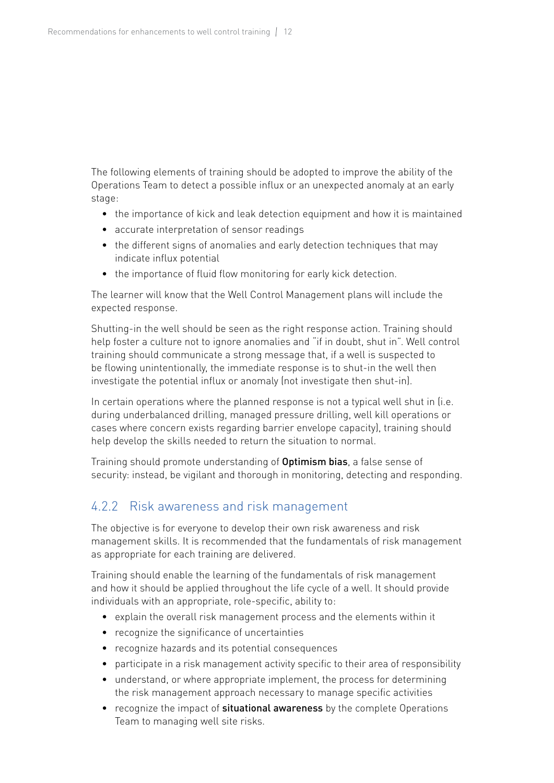<span id="page-11-0"></span>The following elements of training should be adopted to improve the ability of the Operations Team to detect a possible influx or an unexpected anomaly at an early stage:

- the importance of kick and leak detection equipment and how it is maintained
- accurate interpretation of sensor readings
- the different signs of anomalies and early detection techniques that may indicate influx potential
- the importance of fluid flow monitoring for early kick detection.

The learner will know that the Well Control Management plans will include the expected response.

Shutting-in the well should be seen as the right response action. Training should help foster a culture not to ignore anomalies and "if in doubt, shut in". Well control training should communicate a strong message that, if a well is suspected to be flowing unintentionally, the immediate response is to shut-in the well then investigate the potential influx or anomaly (not investigate then shut-in).

In certain operations where the planned response is not a typical well shut in (i.e. during underbalanced drilling, managed pressure drilling, well kill operations or cases where concern exists regarding barrier envelope capacity), training should help develop the skills needed to return the situation to normal.

Training should promote understanding of Optimism bias, a false sense of security: instead, be vigilant and thorough in monitoring, detecting and responding.

#### 4.2.2 Risk awareness and risk management

The objective is for everyone to develop their own risk awareness and risk management skills. It is recommended that the fundamentals of risk management as appropriate for each training are delivered.

Training should enable the learning of the fundamentals of risk management and how it should be applied throughout the life cycle of a well. It should provide individuals with an appropriate, role-specific, ability to:

- explain the overall risk management process and the elements within it
- recognize the significance of uncertainties
- recognize hazards and its potential consequences
- participate in a risk management activity specific to their area of responsibility
- understand, or where appropriate implement, the process for determining the risk management approach necessary to manage specific activities
- recognize the impact of situational awareness by the complete Operations Team to managing well site risks.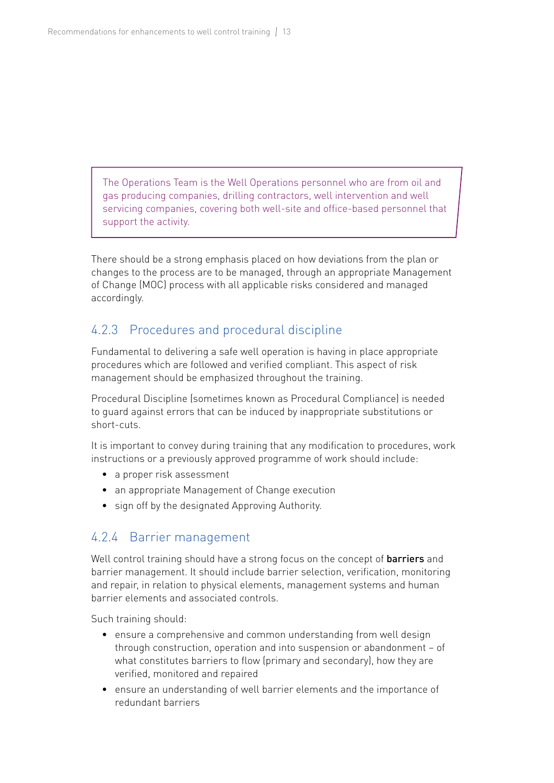<span id="page-12-0"></span>The Operations Team is the Well Operations personnel who are from oil and gas producing companies, drilling contractors, well intervention and well servicing companies, covering both well-site and office-based personnel that support the activity.

There should be a strong emphasis placed on how deviations from the plan or changes to the process are to be managed, through an appropriate Management of Change (MOC) process with all applicable risks considered and managed accordingly.

### 4.2.3 Procedures and procedural discipline

Fundamental to delivering a safe well operation is having in place appropriate procedures which are followed and verified compliant. This aspect of risk management should be emphasized throughout the training.

Procedural Discipline (sometimes known as Procedural Compliance) is needed to guard against errors that can be induced by inappropriate substitutions or short-cuts.

It is important to convey during training that any modification to procedures, work instructions or a previously approved programme of work should include:

- a proper risk assessment
- an appropriate Management of Change execution
- sign off by the designated Approving Authority.

#### 4.2.4 Barrier management

Well control training should have a strong focus on the concept of **barriers** and barrier management. It should include barrier selection, verification, monitoring and repair, in relation to physical elements, management systems and human barrier elements and associated controls.

Such training should:

- ensure a comprehensive and common understanding from well design through construction, operation and into suspension or abandonment – of what constitutes barriers to flow (primary and secondary), how they are verified, monitored and repaired
- ensure an understanding of well barrier elements and the importance of redundant barriers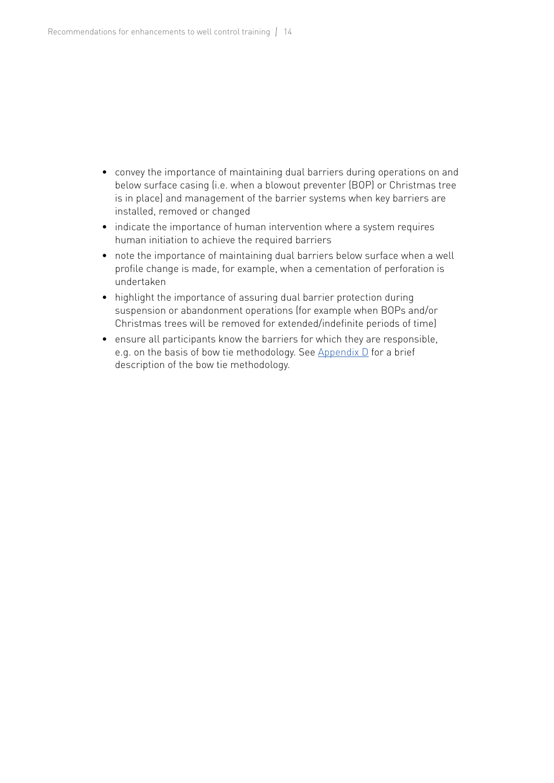- convey the importance of maintaining dual barriers during operations on and below surface casing (i.e. when a blowout preventer (BOP) or Christmas tree is in place) and management of the barrier systems when key barriers are installed, removed or changed
- indicate the importance of human intervention where a system requires human initiation to achieve the required barriers
- note the importance of maintaining dual barriers below surface when a well profile change is made, for example, when a cementation of perforation is undertaken
- highlight the importance of assuring dual barrier protection during suspension or abandonment operations (for example when BOPs and/or Christmas trees will be removed for extended/indefinite periods of time)
- ensure all participants know the barriers for which they are responsible, e.g. on the basis of bow tie methodology. See [Appendix D](#page-38-0) for a brief description of the bow tie methodology.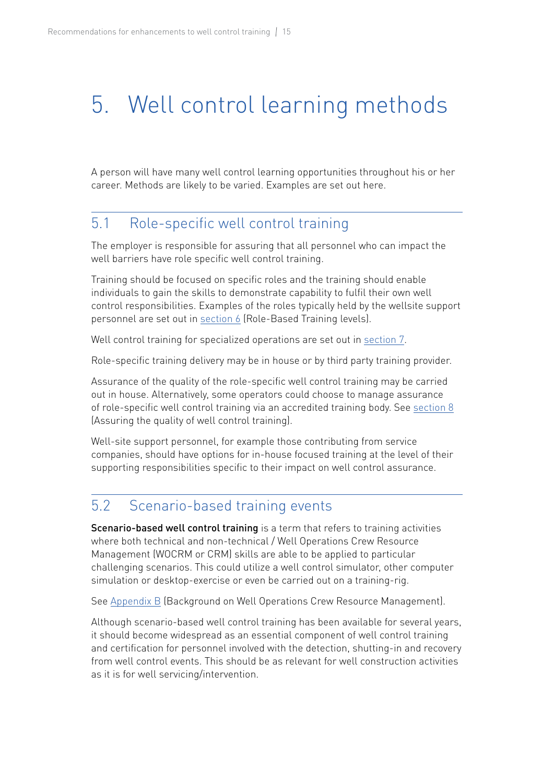## <span id="page-14-0"></span>5. Well control learning methods

A person will have many well control learning opportunities throughout his or her career. Methods are likely to be varied. Examples are set out here.

### 5.1 Role-specific well control training

The employer is responsible for assuring that all personnel who can impact the well barriers have role specific well control training.

Training should be focused on specific roles and the training should enable individuals to gain the skills to demonstrate capability to fulfil their own well control responsibilities. Examples of the roles typically held by the wellsite support personnel are set out in [section 6](#page-17-0) (Role-Based Training levels).

Well control training for specialized operations are set out in [section 7.](#page-26-0)

Role-specific training delivery may be in house or by third party training provider.

Assurance of the quality of the role-specific well control training may be carried out in house. Alternatively, some operators could choose to manage assurance of role-specific well control training via an accredited training body. See [section 8](#page-27-0) (Assuring the quality of well control training).

Well-site support personnel, for example those contributing from service companies, should have options for in-house focused training at the level of their supporting responsibilities specific to their impact on well control assurance.

### 5.2 Scenario-based training events

Scenario-based well control training is a term that refers to training activities where both technical and non-technical / Well Operations Crew Resource Management (WOCRM or CRM) skills are able to be applied to particular challenging scenarios. This could utilize a well control simulator, other computer simulation or desktop-exercise or even be carried out on a training-rig.

See [Appendix B](#page-34-0) (Background on Well Operations Crew Resource Management).

Although scenario-based well control training has been available for several years, it should become widespread as an essential component of well control training and certification for personnel involved with the detection, shutting-in and recovery from well control events. This should be as relevant for well construction activities as it is for well servicing/intervention.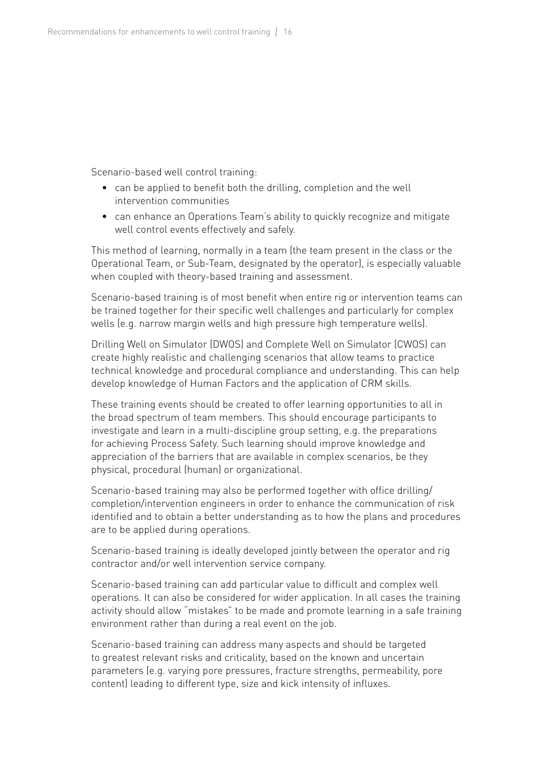Scenario-based well control training:

- can be applied to benefit both the drilling, completion and the well intervention communities
- can enhance an Operations Team's ability to quickly recognize and mitigate well control events effectively and safely.

This method of learning, normally in a team (the team present in the class or the Operational Team, or Sub-Team, designated by the operator), is especially valuable when coupled with theory-based training and assessment.

Scenario-based training is of most benefit when entire rig or intervention teams can be trained together for their specific well challenges and particularly for complex wells (e.g. narrow margin wells and high pressure high temperature wells).

Drilling Well on Simulator (DWOS) and Complete Well on Simulator (CWOS) can create highly realistic and challenging scenarios that allow teams to practice technical knowledge and procedural compliance and understanding. This can help develop knowledge of Human Factors and the application of CRM skills.

These training events should be created to offer learning opportunities to all in the broad spectrum of team members. This should encourage participants to investigate and learn in a multi-discipline group setting, e.g. the preparations for achieving Process Safety. Such learning should improve knowledge and appreciation of the barriers that are available in complex scenarios, be they physical, procedural (human) or organizational.

Scenario-based training may also be performed together with office drilling/ completion/intervention engineers in order to enhance the communication of risk identified and to obtain a better understanding as to how the plans and procedures are to be applied during operations.

Scenario-based training is ideally developed jointly between the operator and rig contractor and/or well intervention service company.

Scenario-based training can add particular value to difficult and complex well operations. It can also be considered for wider application. In all cases the training activity should allow "mistakes" to be made and promote learning in a safe training environment rather than during a real event on the job.

Scenario-based training can address many aspects and should be targeted to greatest relevant risks and criticality, based on the known and uncertain parameters (e.g. varying pore pressures, fracture strengths, permeability, pore content) leading to different type, size and kick intensity of influxes.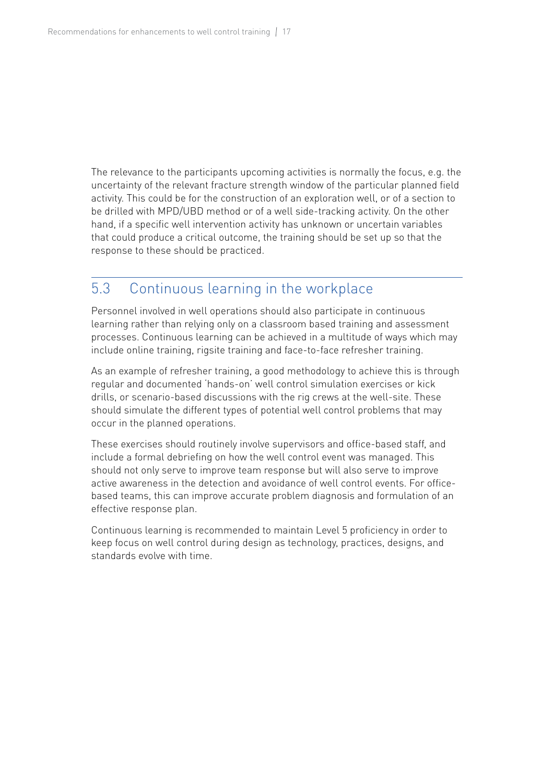<span id="page-16-0"></span>The relevance to the participants upcoming activities is normally the focus, e.g. the uncertainty of the relevant fracture strength window of the particular planned field activity. This could be for the construction of an exploration well, or of a section to be drilled with MPD/UBD method or of a well side-tracking activity. On the other hand, if a specific well intervention activity has unknown or uncertain variables that could produce a critical outcome, the training should be set up so that the response to these should be practiced.

### 5.3 Continuous learning in the workplace

Personnel involved in well operations should also participate in continuous learning rather than relying only on a classroom based training and assessment processes. Continuous learning can be achieved in a multitude of ways which may include online training, rigsite training and face-to-face refresher training.

As an example of refresher training, a good methodology to achieve this is through regular and documented 'hands-on' well control simulation exercises or kick drills, or scenario-based discussions with the rig crews at the well-site. These should simulate the different types of potential well control problems that may occur in the planned operations.

These exercises should routinely involve supervisors and office-based staff, and include a formal debriefing on how the well control event was managed. This should not only serve to improve team response but will also serve to improve active awareness in the detection and avoidance of well control events. For officebased teams, this can improve accurate problem diagnosis and formulation of an effective response plan.

Continuous learning is recommended to maintain Level 5 proficiency in order to keep focus on well control during design as technology, practices, designs, and standards evolve with time.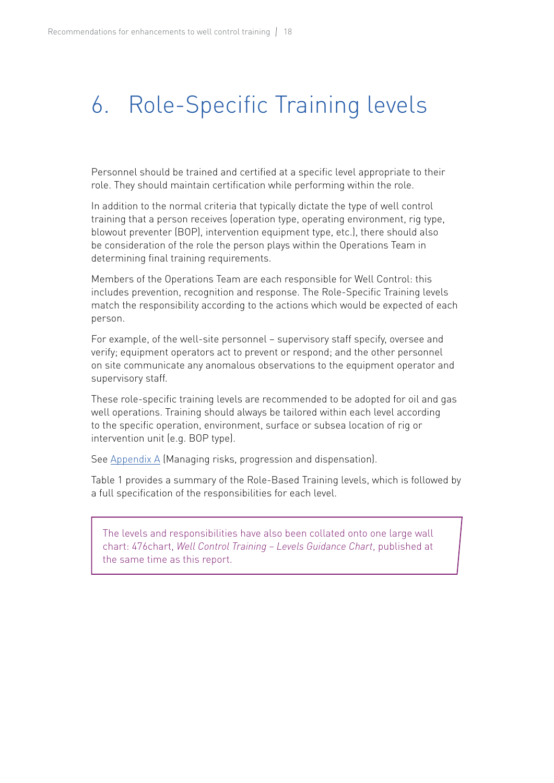## <span id="page-17-0"></span>6. Role-Specific Training levels

Personnel should be trained and certified at a specific level appropriate to their role. They should maintain certification while performing within the role.

In addition to the normal criteria that typically dictate the type of well control training that a person receives (operation type, operating environment, rig type, blowout preventer (BOP), intervention equipment type, etc.), there should also be consideration of the role the person plays within the Operations Team in determining final training requirements.

Members of the Operations Team are each responsible for Well Control: this includes prevention, recognition and response. The Role-Specific Training levels match the responsibility according to the actions which would be expected of each person.

For example, of the well-site personnel – supervisory staff specify, oversee and verify; equipment operators act to prevent or respond; and the other personnel on site communicate any anomalous observations to the equipment operator and supervisory staff.

These role-specific training levels are recommended to be adopted for oil and gas well operations. Training should always be tailored within each level according to the specific operation, environment, surface or subsea location of rig or intervention unit (e.g. BOP type).

See [Appendix A](#page-31-0) (Managing risks, progression and dispensation).

Table 1 provides a summary of the Role-Based Training levels, which is followed by a full specification of the responsibilities for each level.

The levels and responsibilities have also been collated onto one large wall chart: 476chart, *Well Control Training – Levels Guidance Chart*, published at the same time as this report.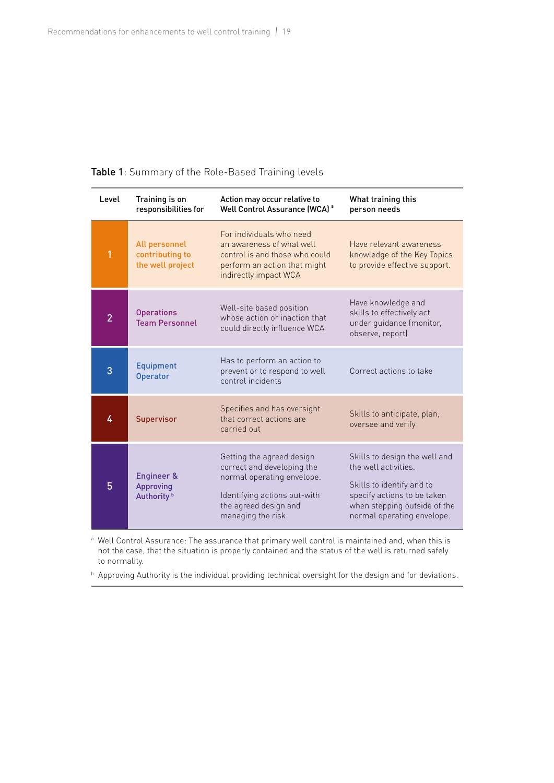| Level | Training is on<br>responsibilities for                              | Action may occur relative to<br>Well Control Assurance (WCA) <sup>a</sup>                                                                                           | What training this<br>person needs                                                                                                                                              |
|-------|---------------------------------------------------------------------|---------------------------------------------------------------------------------------------------------------------------------------------------------------------|---------------------------------------------------------------------------------------------------------------------------------------------------------------------------------|
| 1     | All personnel<br>contributing to<br>the well project                | For individuals who need<br>an awareness of what well<br>control is and those who could<br>perform an action that might<br>indirectly impact WCA                    | Have relevant awareness<br>knowledge of the Key Topics<br>to provide effective support.                                                                                         |
| 2     | <b>Operations</b><br><b>Team Personnel</b>                          | Well-site based position<br>whose action or inaction that<br>could directly influence WCA                                                                           | Have knowledge and<br>skills to effectively act<br>under quidance (monitor,<br>observe, report)                                                                                 |
| 3     | <b>Equipment</b><br><b>Operator</b>                                 | Has to perform an action to<br>prevent or to respond to well<br>control incidents                                                                                   | Correct actions to take                                                                                                                                                         |
| 4     | <b>Supervisor</b>                                                   | Specifies and has oversight<br>that correct actions are<br>carried out                                                                                              | Skills to anticipate, plan,<br>oversee and verify                                                                                                                               |
| 5     | <b>Engineer &amp;</b><br><b>Approving</b><br>Authority <sup>b</sup> | Getting the agreed design<br>correct and developing the<br>normal operating envelope.<br>Identifying actions out-with<br>the agreed design and<br>managing the risk | Skills to design the well and<br>the well activities.<br>Skills to identify and to<br>specify actions to be taken<br>when stepping outside of the<br>normal operating envelope. |

### Table 1: Summary of the Role-Based Training levels

a Well Control Assurance: The assurance that primary well control is maintained and, when this is not the case, that the situation is properly contained and the status of the well is returned safely to normality.

 $^{\rm b}$  Approving Authority is the individual providing technical oversight for the design and for deviations.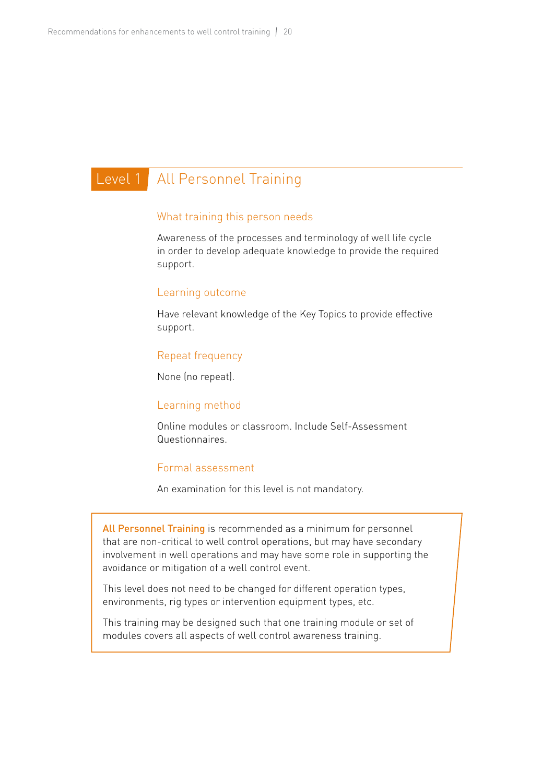### <span id="page-19-0"></span>Level 1 All Personnel Training

#### What training this person needs

Awareness of the processes and terminology of well life cycle in order to develop adequate knowledge to provide the required support.

#### Learning outcome

Have relevant knowledge of the Key Topics to provide effective support.

#### Repeat frequency

None (no repeat).

#### Learning method

Online modules or classroom. Include Self-Assessment Questionnaires.

#### Formal assessment

An examination for this level is not mandatory.

All Personnel Training is recommended as a minimum for personnel that are non-critical to well control operations, but may have secondary involvement in well operations and may have some role in supporting the avoidance or mitigation of a well control event.

This level does not need to be changed for different operation types, environments, rig types or intervention equipment types, etc.

This training may be designed such that one training module or set of modules covers all aspects of well control awareness training.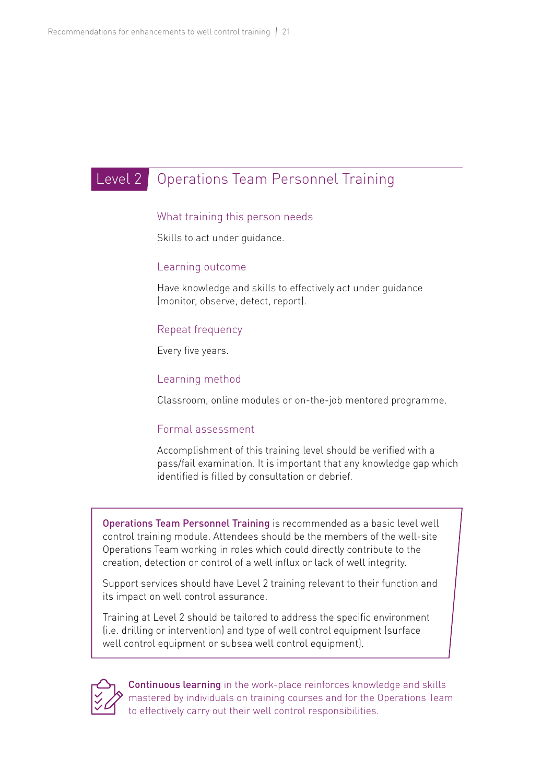### <span id="page-20-0"></span>Level 2 Operations Team Personnel Training

#### What training this person needs

Skills to act under guidance.

#### Learning outcome

Have knowledge and skills to effectively act under guidance (monitor, observe, detect, report).

#### Repeat frequency

Every five years.

#### Learning method

Classroom, online modules or on-the-job mentored programme.

#### Formal assessment

Accomplishment of this training level should be verified with a pass/fail examination. It is important that any knowledge gap which identified is filled by consultation or debrief.

Operations Team Personnel Training is recommended as a basic level well control training module. Attendees should be the members of the well-site Operations Team working in roles which could directly contribute to the creation, detection or control of a well influx or lack of well integrity.

Support services should have Level 2 training relevant to their function and its impact on well control assurance.

Training at Level 2 should be tailored to address the specific environment (i.e. drilling or intervention) and type of well control equipment (surface well control equipment or subsea well control equipment).



Continuous learning in the work-place reinforces knowledge and skills mastered by individuals on training courses and for the Operations Team to effectively carry out their well control responsibilities.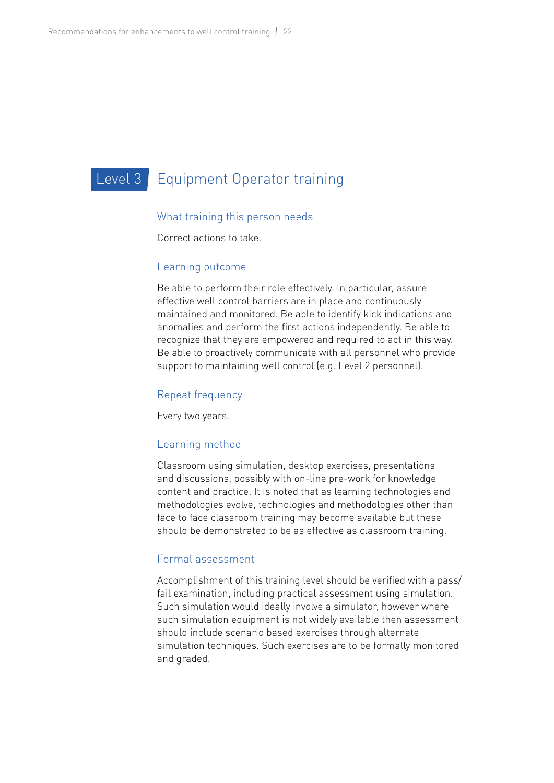### <span id="page-21-0"></span>Level 3 Equipment Operator training

#### What training this person needs

Correct actions to take.

#### Learning outcome

Be able to perform their role effectively. In particular, assure effective well control barriers are in place and continuously maintained and monitored. Be able to identify kick indications and anomalies and perform the first actions independently. Be able to recognize that they are empowered and required to act in this way. Be able to proactively communicate with all personnel who provide support to maintaining well control (e.g. Level 2 personnel).

#### Repeat frequency

Every two years.

#### Learning method

Classroom using simulation, desktop exercises, presentations and discussions, possibly with on-line pre-work for knowledge content and practice. It is noted that as learning technologies and methodologies evolve, technologies and methodologies other than face to face classroom training may become available but these should be demonstrated to be as effective as classroom training.

#### Formal assessment

Accomplishment of this training level should be verified with a pass/ fail examination, including practical assessment using simulation. Such simulation would ideally involve a simulator, however where such simulation equipment is not widely available then assessment should include scenario based exercises through alternate simulation techniques. Such exercises are to be formally monitored and graded.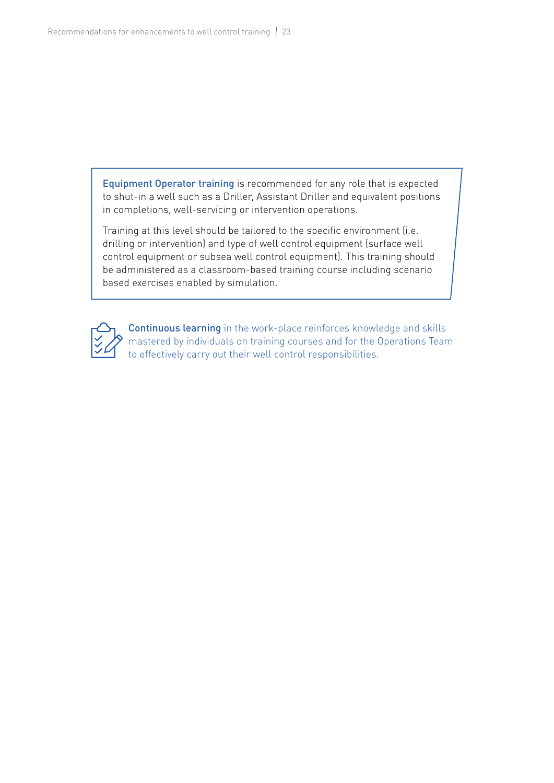Equipment Operator training is recommended for any role that is expected to shut-in a well such as a Driller, Assistant Driller and equivalent positions in completions, well-servicing or intervention operations.

Training at this level should be tailored to the specific environment (i.e. drilling or intervention) and type of well control equipment (surface well control equipment or subsea well control equipment). This training should be administered as a classroom-based training course including scenario based exercises enabled by simulation.



Continuous learning in the work-place reinforces knowledge and skills mastered by individuals on training courses and for the Operations Team to effectively carry out their well control responsibilities.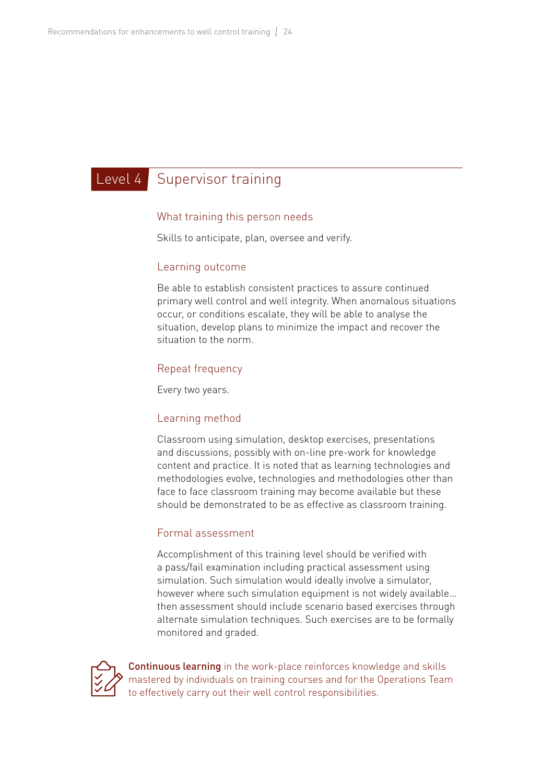### <span id="page-23-0"></span>Level 4 Supervisor training

#### What training this person needs

Skills to anticipate, plan, oversee and verify.

#### Learning outcome

Be able to establish consistent practices to assure continued primary well control and well integrity. When anomalous situations occur, or conditions escalate, they will be able to analyse the situation, develop plans to minimize the impact and recover the situation to the norm.

#### Repeat frequency

Every two years.

#### Learning method

Classroom using simulation, desktop exercises, presentations and discussions, possibly with on-line pre-work for knowledge content and practice. It is noted that as learning technologies and methodologies evolve, technologies and methodologies other than face to face classroom training may become available but these should be demonstrated to be as effective as classroom training.

#### Formal assessment

Accomplishment of this training level should be verified with a pass/fail examination including practical assessment using simulation. Such simulation would ideally involve a simulator, however where such simulation equipment is not widely available… then assessment should include scenario based exercises through alternate simulation techniques. Such exercises are to be formally monitored and graded.



Continuous learning in the work-place reinforces knowledge and skills mastered by individuals on training courses and for the Operations Team to effectively carry out their well control responsibilities.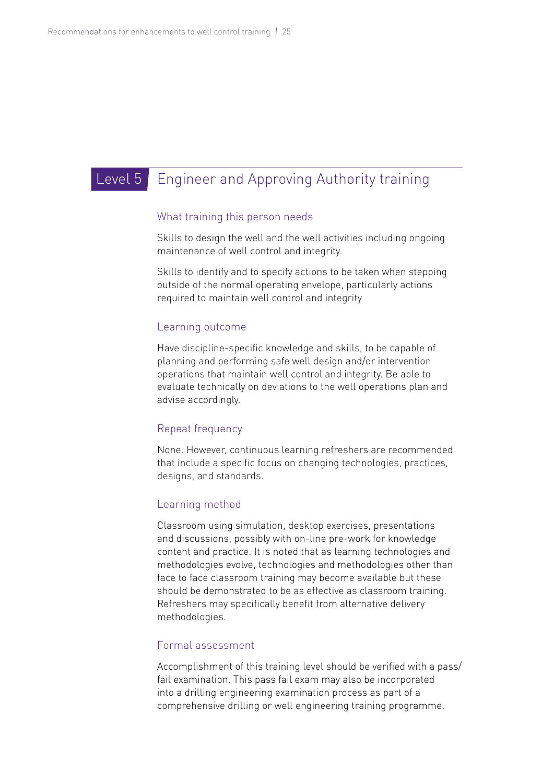## <span id="page-24-0"></span>Level 5 Engineer and Approving Authority training

#### What training this person needs

Skills to design the well and the well activities including ongoing maintenance of well control and integrity.

Skills to identify and to specify actions to be taken when stepping outside of the normal operating envelope, particularly actions required to maintain well control and integrity

#### Learning outcome

Have discipline-specific knowledge and skills, to be capable of planning and performing safe well design and/or intervention operations that maintain well control and integrity. Be able to evaluate technically on deviations to the well operations plan and advise accordingly.

#### Repeat frequency

None. However, continuous learning refreshers are recommended that include a specific focus on changing technologies, practices, designs, and standards.

#### Learning method

Classroom using simulation, desktop exercises, presentations and discussions, possibly with on-line pre-work for knowledge content and practice. It is noted that as learning technologies and methodologies evolve, technologies and methodologies other than face to face classroom training may become available but these should be demonstrated to be as effective as classroom training. Refreshers may specifically benefit from alternative delivery methodologies.

#### Formal assessment

Accomplishment of this training level should be verified with a pass/ fail examination. This pass fail exam may also be incorporated into a drilling engineering examination process as part of a comprehensive drilling or well engineering training programme.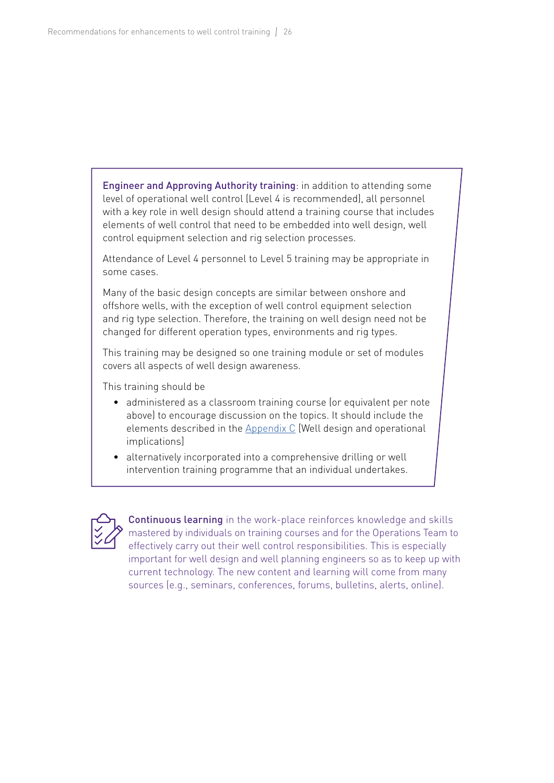Engineer and Approving Authority training: in addition to attending some level of operational well control (Level 4 is recommended), all personnel with a key role in well design should attend a training course that includes elements of well control that need to be embedded into well design, well control equipment selection and rig selection processes.

Attendance of Level 4 personnel to Level 5 training may be appropriate in some cases.

Many of the basic design concepts are similar between onshore and offshore wells, with the exception of well control equipment selection and rig type selection. Therefore, the training on well design need not be changed for different operation types, environments and rig types.

This training may be designed so one training module or set of modules covers all aspects of well design awareness.

This training should be

- administered as a classroom training course (or equivalent per note above) to encourage discussion on the topics. It should include the elements described in the [Appendix C](#page-36-0) [Well design and operational implications]
- alternatively incorporated into a comprehensive drilling or well intervention training programme that an individual undertakes.



Continuous learning in the work-place reinforces knowledge and skills mastered by individuals on training courses and for the Operations Team to effectively carry out their well control responsibilities. This is especially important for well design and well planning engineers so as to keep up with current technology. The new content and learning will come from many sources (e.g., seminars, conferences, forums, bulletins, alerts, online).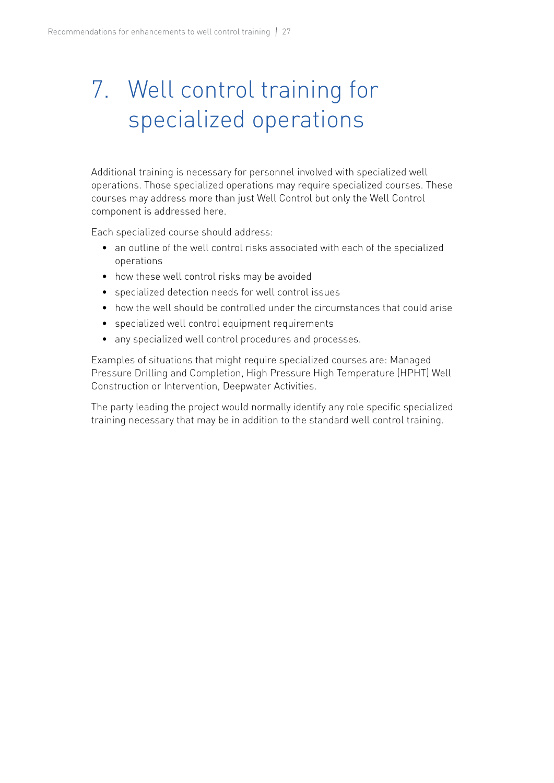## <span id="page-26-0"></span>7. Well control training for specialized operations

Additional training is necessary for personnel involved with specialized well operations. Those specialized operations may require specialized courses. These courses may address more than just Well Control but only the Well Control component is addressed here.

Each specialized course should address:

- an outline of the well control risks associated with each of the specialized operations
- how these well control risks may be avoided
- specialized detection needs for well control issues
- how the well should be controlled under the circumstances that could arise
- specialized well control equipment requirements
- any specialized well control procedures and processes.

Examples of situations that might require specialized courses are: Managed Pressure Drilling and Completion, High Pressure High Temperature (HPHT) Well Construction or Intervention, Deepwater Activities.

The party leading the project would normally identify any role specific specialized training necessary that may be in addition to the standard well control training.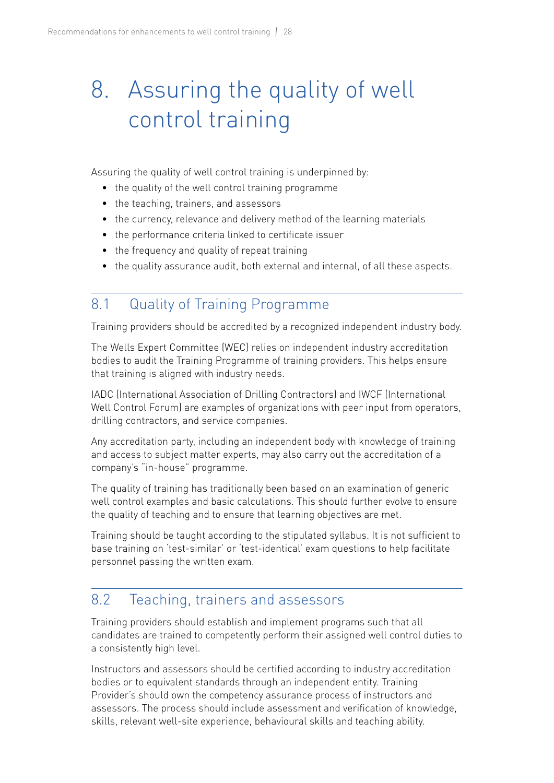## <span id="page-27-0"></span>8. Assuring the quality of well control training

Assuring the quality of well control training is underpinned by:

- the quality of the well control training programme
- the teaching, trainers, and assessors
- the currency, relevance and delivery method of the learning materials
- the performance criteria linked to certificate issuer
- the frequency and quality of repeat training
- the quality assurance audit, both external and internal, of all these aspects.

## 8.1 Quality of Training Programme

Training providers should be accredited by a recognized independent industry body.

The Wells Expert Committee (WEC) relies on independent industry accreditation bodies to audit the Training Programme of training providers. This helps ensure that training is aligned with industry needs.

IADC (International Association of Drilling Contractors) and IWCF (International Well Control Forum) are examples of organizations with peer input from operators, drilling contractors, and service companies.

Any accreditation party, including an independent body with knowledge of training and access to subject matter experts, may also carry out the accreditation of a company's "in-house" programme.

The quality of training has traditionally been based on an examination of generic well control examples and basic calculations. This should further evolve to ensure the quality of teaching and to ensure that learning objectives are met.

Training should be taught according to the stipulated syllabus. It is not sufficient to base training on 'test-similar' or 'test-identical' exam questions to help facilitate personnel passing the written exam.

### 8.2 Teaching, trainers and assessors

Training providers should establish and implement programs such that all candidates are trained to competently perform their assigned well control duties to a consistently high level.

Instructors and assessors should be certified according to industry accreditation bodies or to equivalent standards through an independent entity. Training Provider's should own the competency assurance process of instructors and assessors. The process should include assessment and verification of knowledge, skills, relevant well-site experience, behavioural skills and teaching ability.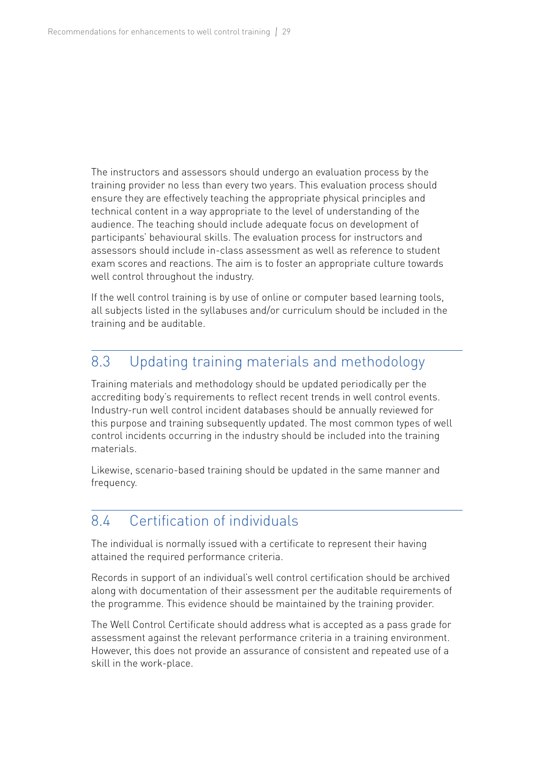<span id="page-28-0"></span>The instructors and assessors should undergo an evaluation process by the training provider no less than every two years. This evaluation process should ensure they are effectively teaching the appropriate physical principles and technical content in a way appropriate to the level of understanding of the audience. The teaching should include adequate focus on development of participants' behavioural skills. The evaluation process for instructors and assessors should include in-class assessment as well as reference to student exam scores and reactions. The aim is to foster an appropriate culture towards well control throughout the industry.

If the well control training is by use of online or computer based learning tools, all subjects listed in the syllabuses and/or curriculum should be included in the training and be auditable.

## 8.3 Updating training materials and methodology

Training materials and methodology should be updated periodically per the accrediting body's requirements to reflect recent trends in well control events. Industry-run well control incident databases should be annually reviewed for this purpose and training subsequently updated. The most common types of well control incidents occurring in the industry should be included into the training materials.

Likewise, scenario-based training should be updated in the same manner and frequency.

### 8.4 Certification of individuals

The individual is normally issued with a certificate to represent their having attained the required performance criteria.

Records in support of an individual's well control certification should be archived along with documentation of their assessment per the auditable requirements of the programme. This evidence should be maintained by the training provider.

The Well Control Certificate should address what is accepted as a pass grade for assessment against the relevant performance criteria in a training environment. However, this does not provide an assurance of consistent and repeated use of a skill in the work-place.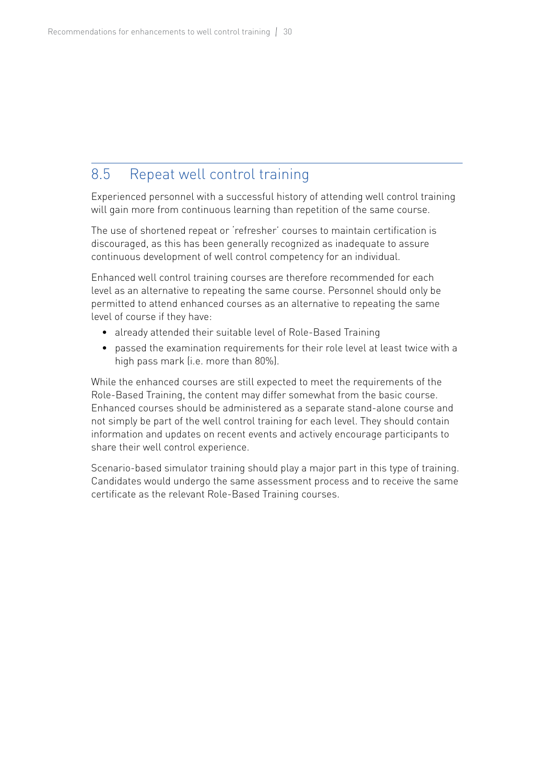## <span id="page-29-0"></span>8.5 Repeat well control training

Experienced personnel with a successful history of attending well control training will gain more from continuous learning than repetition of the same course.

The use of shortened repeat or 'refresher' courses to maintain certification is discouraged, as this has been generally recognized as inadequate to assure continuous development of well control competency for an individual.

Enhanced well control training courses are therefore recommended for each level as an alternative to repeating the same course. Personnel should only be permitted to attend enhanced courses as an alternative to repeating the same level of course if they have:

- already attended their suitable level of Role-Based Training
- passed the examination requirements for their role level at least twice with a high pass mark (i.e. more than 80%).

While the enhanced courses are still expected to meet the requirements of the Role-Based Training, the content may differ somewhat from the basic course. Enhanced courses should be administered as a separate stand-alone course and not simply be part of the well control training for each level. They should contain information and updates on recent events and actively encourage participants to share their well control experience.

Scenario-based simulator training should play a major part in this type of training. Candidates would undergo the same assessment process and to receive the same certificate as the relevant Role-Based Training courses.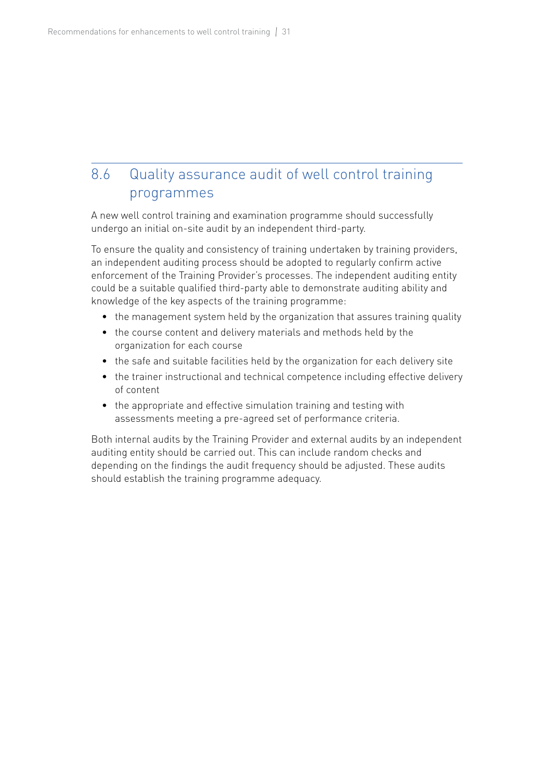## <span id="page-30-0"></span>8.6 Quality assurance audit of well control training programmes

A new well control training and examination programme should successfully undergo an initial on-site audit by an independent third-party.

To ensure the quality and consistency of training undertaken by training providers, an independent auditing process should be adopted to regularly confirm active enforcement of the Training Provider's processes. The independent auditing entity could be a suitable qualified third-party able to demonstrate auditing ability and knowledge of the key aspects of the training programme:

- the management system held by the organization that assures training quality
- the course content and delivery materials and methods held by the organization for each course
- the safe and suitable facilities held by the organization for each delivery site
- the trainer instructional and technical competence including effective delivery of content
- the appropriate and effective simulation training and testing with assessments meeting a pre-agreed set of performance criteria.

Both internal audits by the Training Provider and external audits by an independent auditing entity should be carried out. This can include random checks and depending on the findings the audit frequency should be adjusted. These audits should establish the training programme adequacy.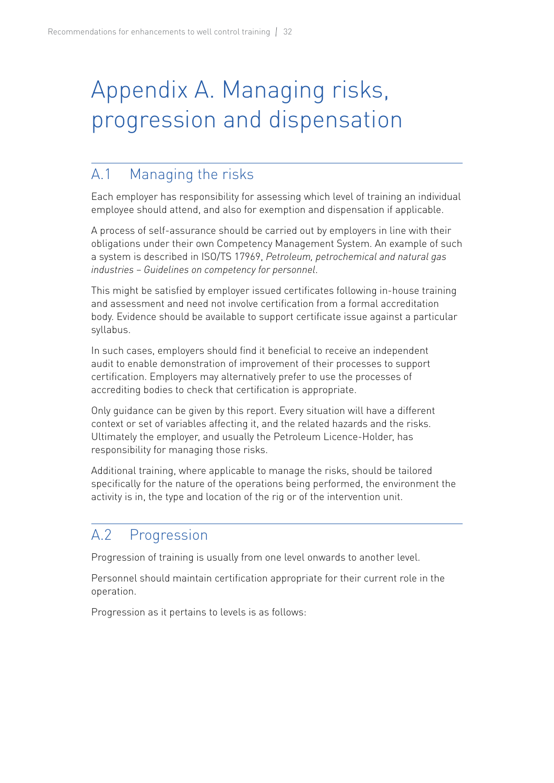## <span id="page-31-0"></span>Appendix A. Managing risks, progression and dispensation

### A.1 Managing the risks

Each employer has responsibility for assessing which level of training an individual employee should attend, and also for exemption and dispensation if applicable.

A process of self-assurance should be carried out by employers in line with their obligations under their own Competency Management System. An example of such a system is described in ISO/TS 17969, *Petroleum, petrochemical and natural gas industries – Guidelines on competency for personnel*.

This might be satisfied by employer issued certificates following in-house training and assessment and need not involve certification from a formal accreditation body. Evidence should be available to support certificate issue against a particular syllabus.

In such cases, employers should find it beneficial to receive an independent audit to enable demonstration of improvement of their processes to support certification. Employers may alternatively prefer to use the processes of accrediting bodies to check that certification is appropriate.

Only guidance can be given by this report. Every situation will have a different context or set of variables affecting it, and the related hazards and the risks. Ultimately the employer, and usually the Petroleum Licence-Holder, has responsibility for managing those risks.

Additional training, where applicable to manage the risks, should be tailored specifically for the nature of the operations being performed, the environment the activity is in, the type and location of the rig or of the intervention unit.

## A.2 Progression

Progression of training is usually from one level onwards to another level.

Personnel should maintain certification appropriate for their current role in the operation.

Progression as it pertains to levels is as follows: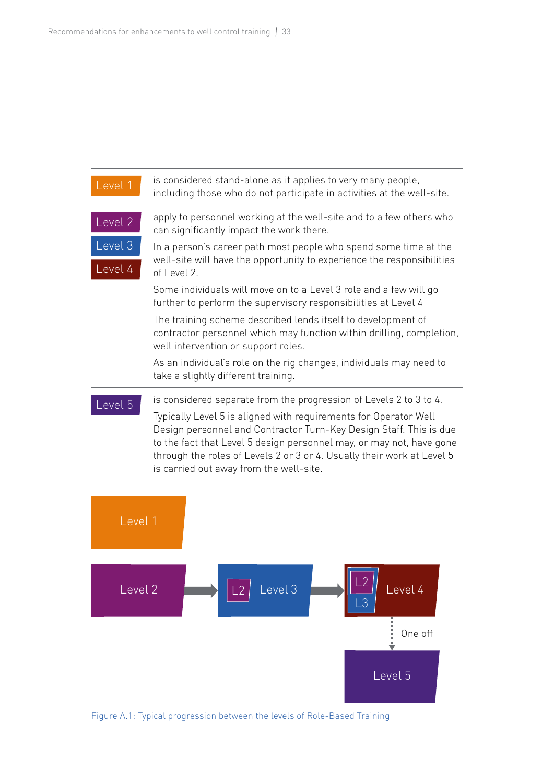| evel 1             | is considered stand-alone as it applies to very many people,<br>including those who do not participate in activities at the well-site.                                                                                                                                                                                                                                                                    |
|--------------------|-----------------------------------------------------------------------------------------------------------------------------------------------------------------------------------------------------------------------------------------------------------------------------------------------------------------------------------------------------------------------------------------------------------|
| Level 2            | apply to personnel working at the well-site and to a few others who<br>can significantly impact the work there.                                                                                                                                                                                                                                                                                           |
| Level 3<br>Level 4 | In a person's career path most people who spend some time at the<br>well-site will have the opportunity to experience the responsibilities<br>of Level 2.                                                                                                                                                                                                                                                 |
|                    | Some individuals will move on to a Level 3 role and a few will go<br>further to perform the supervisory responsibilities at Level 4                                                                                                                                                                                                                                                                       |
|                    | The training scheme described lends itself to development of<br>contractor personnel which may function within drilling, completion,<br>well intervention or support roles.                                                                                                                                                                                                                               |
|                    | As an individual's role on the rig changes, individuals may need to<br>take a slightly different training.                                                                                                                                                                                                                                                                                                |
| evel 5             | is considered separate from the progression of Levels 2 to 3 to 4.<br>Typically Level 5 is aligned with requirements for Operator Well<br>Design personnel and Contractor Turn-Key Design Staff. This is due<br>to the fact that Level 5 design personnel may, or may not, have gone<br>through the roles of Levels 2 or 3 or 4. Usually their work at Level 5<br>is carried out away from the well-site. |
| Level 1            |                                                                                                                                                                                                                                                                                                                                                                                                           |
|                    | - 1                                                                                                                                                                                                                                                                                                                                                                                                       |

Level 4

One off

Level 5

į

L3



Level 2 Level 3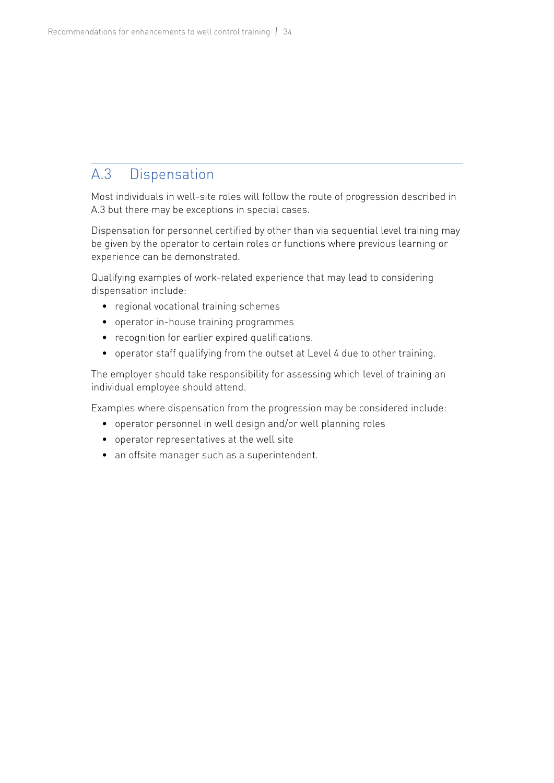## <span id="page-33-0"></span>A.3 Dispensation

Most individuals in well-site roles will follow the route of progression described in A.3 but there may be exceptions in special cases.

Dispensation for personnel certified by other than via sequential level training may be given by the operator to certain roles or functions where previous learning or experience can be demonstrated.

Qualifying examples of work-related experience that may lead to considering dispensation include:

- regional vocational training schemes
- operator in-house training programmes
- recognition for earlier expired qualifications.
- operator staff qualifying from the outset at Level 4 due to other training.

The employer should take responsibility for assessing which level of training an individual employee should attend.

Examples where dispensation from the progression may be considered include:

- operator personnel in well design and/or well planning roles
- operator representatives at the well site
- an offsite manager such as a superintendent.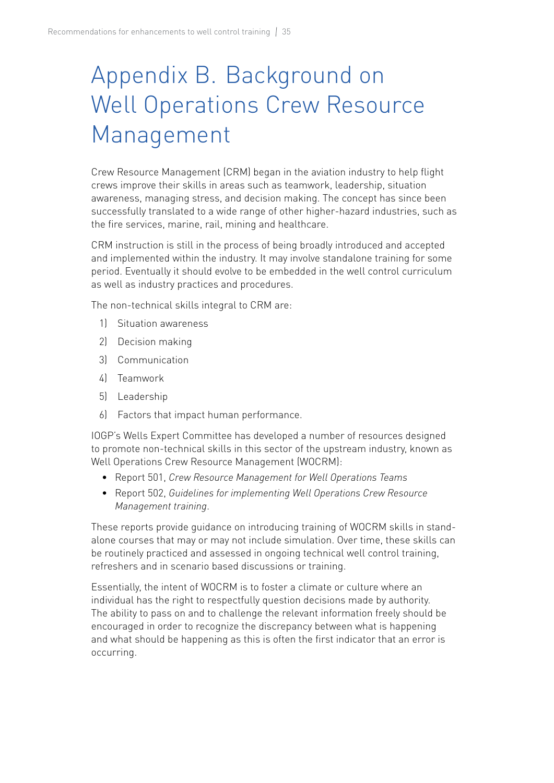## <span id="page-34-0"></span>Appendix B. Background on Well Operations Crew Resource Management

Crew Resource Management (CRM) began in the aviation industry to help flight crews improve their skills in areas such as teamwork, leadership, situation awareness, managing stress, and decision making. The concept has since been successfully translated to a wide range of other higher-hazard industries, such as the fire services, marine, rail, mining and healthcare.

CRM instruction is still in the process of being broadly introduced and accepted and implemented within the industry. It may involve standalone training for some period. Eventually it should evolve to be embedded in the well control curriculum as well as industry practices and procedures.

The non-technical skills integral to CRM are:

- 1) Situation awareness
- 2) Decision making
- 3) Communication
- 4) Teamwork
- 5) Leadership
- 6) Factors that impact human performance.

IOGP's Wells Expert Committee has developed a number of resources designed to promote non-technical skills in this sector of the upstream industry, known as Well Operations Crew Resource Management (WOCRM):

- Report 501, *Crew Resource Management for Well Operations Teams*
- Report 502, *Guidelines for implementing Well Operations Crew Resource Management training*.

These reports provide guidance on introducing training of WOCRM skills in standalone courses that may or may not include simulation. Over time, these skills can be routinely practiced and assessed in ongoing technical well control training, refreshers and in scenario based discussions or training.

Essentially, the intent of WOCRM is to foster a climate or culture where an individual has the right to respectfully question decisions made by authority. The ability to pass on and to challenge the relevant information freely should be encouraged in order to recognize the discrepancy between what is happening and what should be happening as this is often the first indicator that an error is occurring.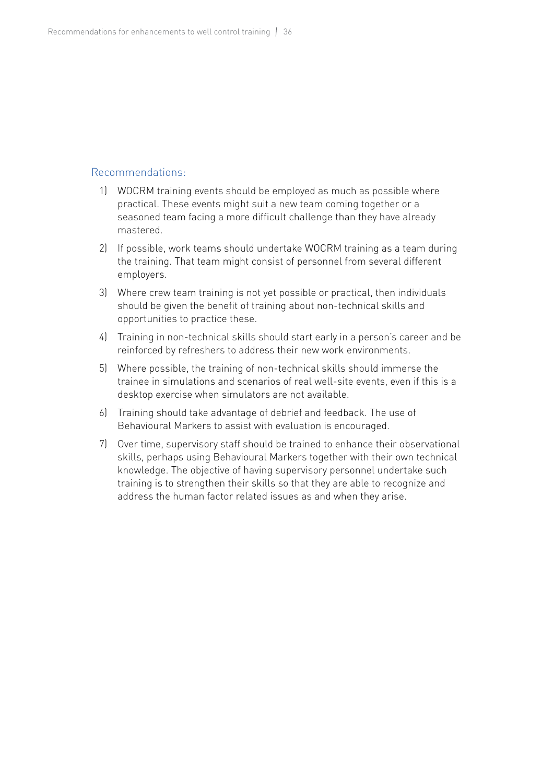#### Recommendations:

- 1) WOCRM training events should be employed as much as possible where practical. These events might suit a new team coming together or a seasoned team facing a more difficult challenge than they have already mastered.
- 2) If possible, work teams should undertake WOCRM training as a team during the training. That team might consist of personnel from several different employers.
- 3) Where crew team training is not yet possible or practical, then individuals should be given the benefit of training about non-technical skills and opportunities to practice these.
- 4) Training in non-technical skills should start early in a person's career and be reinforced by refreshers to address their new work environments.
- 5) Where possible, the training of non-technical skills should immerse the trainee in simulations and scenarios of real well-site events, even if this is a desktop exercise when simulators are not available.
- 6) Training should take advantage of debrief and feedback. The use of Behavioural Markers to assist with evaluation is encouraged.
- 7) Over time, supervisory staff should be trained to enhance their observational skills, perhaps using Behavioural Markers together with their own technical knowledge. The objective of having supervisory personnel undertake such training is to strengthen their skills so that they are able to recognize and address the human factor related issues as and when they arise.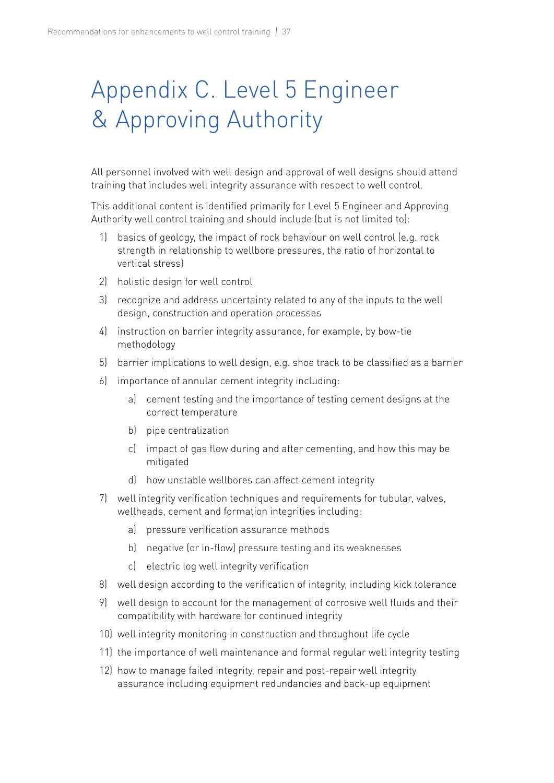## <span id="page-36-0"></span>Appendix C. Level 5 Engineer & Approving Authority

All personnel involved with well design and approval of well designs should attend training that includes well integrity assurance with respect to well control.

This additional content is identified primarily for Level 5 Engineer and Approving Authority well control training and should include (but is not limited to):

- 1) basics of geology, the impact of rock behaviour on well control (e.g. rock strength in relationship to wellbore pressures, the ratio of horizontal to vertical stress)
- 2) holistic design for well control
- 3) recognize and address uncertainty related to any of the inputs to the well design, construction and operation processes
- 4) instruction on barrier integrity assurance, for example, by bow-tie methodology
- 5) barrier implications to well design, e.g. shoe track to be classified as a barrier
- 6) importance of annular cement integrity including:
	- a) cement testing and the importance of testing cement designs at the correct temperature
	- b) pipe centralization
	- c) impact of gas flow during and after cementing, and how this may be mitigated
	- d) how unstable wellbores can affect cement integrity
- 7) well integrity verification techniques and requirements for tubular, valves, wellheads, cement and formation integrities including:
	- a) pressure verification assurance methods
	- b) negative (or in-flow) pressure testing and its weaknesses
	- c) electric log well integrity verification
- 8) well design according to the verification of integrity, including kick tolerance
- 9) well design to account for the management of corrosive well fluids and their compatibility with hardware for continued integrity
- 10) well integrity monitoring in construction and throughout life cycle
- 11) the importance of well maintenance and formal regular well integrity testing
- 12) how to manage failed integrity, repair and post-repair well integrity assurance including equipment redundancies and back-up equipment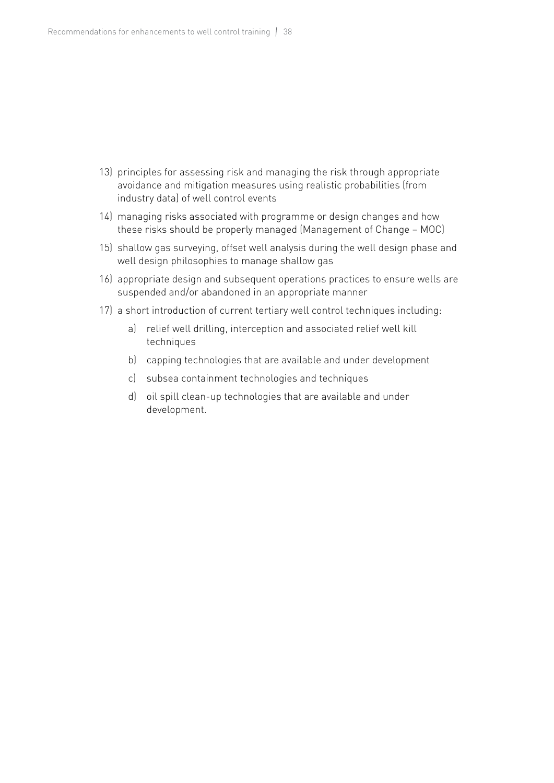- 13) principles for assessing risk and managing the risk through appropriate avoidance and mitigation measures using realistic probabilities (from industry data) of well control events
- 14) managing risks associated with programme or design changes and how these risks should be properly managed (Management of Change – MOC)
- 15) shallow gas surveying, offset well analysis during the well design phase and well design philosophies to manage shallow gas
- 16) appropriate design and subsequent operations practices to ensure wells are suspended and/or abandoned in an appropriate manner
- 17) a short introduction of current tertiary well control techniques including:
	- a) relief well drilling, interception and associated relief well kill techniques
	- b) capping technologies that are available and under development
	- c) subsea containment technologies and techniques
	- d) oil spill clean-up technologies that are available and under development.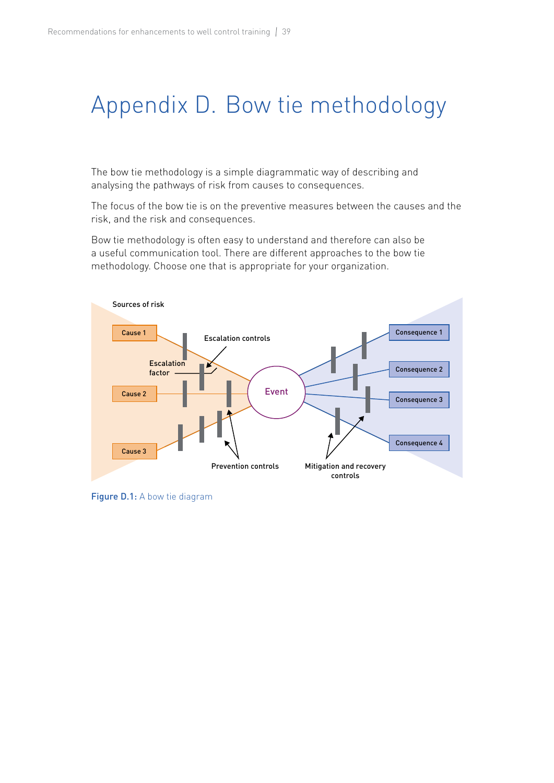## <span id="page-38-0"></span>Appendix D. Bow tie methodology

The bow tie methodology is a simple diagrammatic way of describing and analysing the pathways of risk from causes to consequences.

The focus of the bow tie is on the preventive measures between the causes and the risk, and the risk and consequences.

Bow tie methodology is often easy to understand and therefore can also be a useful communication tool. There are different approaches to the bow tie methodology. Choose one that is appropriate for your organization.



Figure D.1: A bow tie diagram